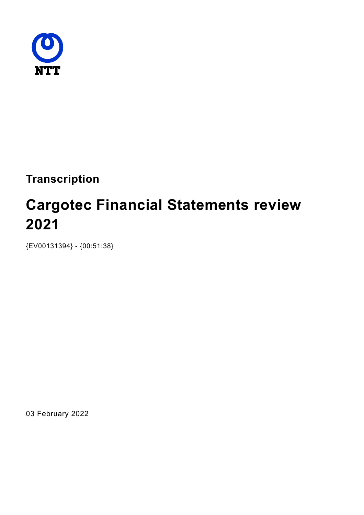

**Transcription**

# **Cargotec Financial Statements review 2021**

{EV00131394} - {00:51:38}

03 February 2022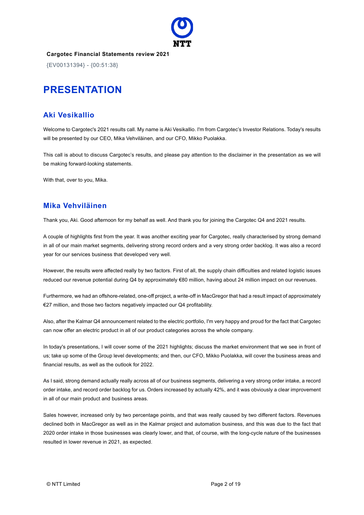

{EV00131394} - {00:51:38}

# **PRESENTATION**

# **Aki Vesikallio**

Welcome to Cargotec's 2021 results call. My name is Aki Vesikallio. I'm from Cargotec's Investor Relations. Today's results will be presented by our CEO, Mika Vehviläinen, and our CFO, Mikko Puolakka.

This call is about to discuss Cargotec's results, and please pay attention to the disclaimer in the presentation as we will be making forward-looking statements.

With that, over to you, Mika.

## **Mika Vehviläinen**

Thank you, Aki. Good afternoon for my behalf as well. And thank you for joining the Cargotec Q4 and 2021 results.

A couple of highlights first from the year. It was another exciting year for Cargotec, really characterised by strong demand in all of our main market segments, delivering strong record orders and a very strong order backlog. It was also a record year for our services business that developed very well.

However, the results were affected really by two factors. First of all, the supply chain difficulties and related logistic issues reduced our revenue potential during Q4 by approximately €80 million, having about 24 million impact on our revenues.

Furthermore, we had an offshore-related, one-off project, a write-off in MacGregor that had a result impact of approximately €27 million, and those two factors negatively impacted our Q4 profitability.

Also, after the Kalmar Q4 announcement related to the electric portfolio, I'm very happy and proud for the fact that Cargotec can now offer an electric product in all of our product categories across the whole company.

In today's presentations, I will cover some of the 2021 highlights; discuss the market environment that we see in front of us; take up some of the Group level developments; and then, our CFO, Mikko Puolakka, will cover the business areas and financial results, as well as the outlook for 2022.

As I said, strong demand actually really across all of our business segments, delivering a very strong order intake, a record order intake, and record order backlog for us. Orders increased by actually 42%, and it was obviously a clear improvement in all of our main product and business areas.

Sales however, increased only by two percentage points, and that was really caused by two different factors. Revenues declined both in MacGregor as well as in the Kalmar project and automation business, and this was due to the fact that 2020 order intake in those businesses was clearly lower, and that, of course, with the long-cycle nature of the businesses resulted in lower revenue in 2021, as expected.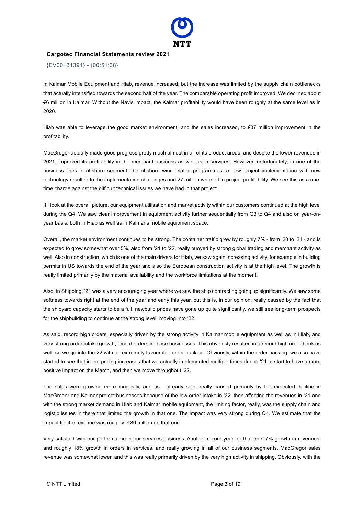

{EV00131394} - {00:51:38}

In Kalmar Mobile Equipment and Hiab, revenue increased, but the increase was limited by the supply chain bottlenecks that actually intensified towards the second half of the year. The comparable operating profit improved. We declined about €6 million in Kalmar. Without the Navis impact, the Kalmar profitability would have been roughly at the same level as in 2020.

Hiab was able to leverage the good market environment, and the sales increased, to €37 million improvement in the profitability.

MacGregor actually made good progress pretty much almost in all of its product areas, and despite the lower revenues in 2021, improved its profitability in the merchant business as well as in services. However, unfortunately, in one of the business lines in offshore segment, the offshore wind-related programmes, a new project implementation with new technology resulted to the implementation challenges and 27 million write-off in project profitability. We see this as a onetime charge against the difficult technical issues we have had in that project.

If I look at the overall picture, our equipment utilisation and market activity within our customers continued at the high level during the Q4. We saw clear improvement in equipment activity further sequentially from Q3 to Q4 and also on year-onyear basis, both in Hiab as well as in Kalmar's mobile equipment space.

Overall, the market environment continues to be strong. The container traffic grew by roughly 7% - from '20 to '21 - and is expected to grow somewhat over 5%, also from '21 to '22, really buoyed by strong global trading and merchant activity as well. Also in construction, which is one of the main drivers for Hiab, we saw again increasing activity, for example in building permits in US towards the end of the year and also the European construction activity is at the high level. The growth is really limited primarily by the material availability and the workforce limitations at the moment.

Also, in Shipping, '21 was a very encouraging year where we saw the ship contracting going up significantly. We saw some softness towards right at the end of the year and early this year, but this is, in our opinion, really caused by the fact that the shipyard capacity starts to be a full, newbuild prices have gone up quite significantly, we still see long-term prospects for the shipbuilding to continue at the strong level, moving into '22.

As said, record high orders, especially driven by the strong activity in Kalmar mobile equipment as well as in Hiab, and very strong order intake growth, record orders in those businesses. This obviously resulted in a record high order book as well, so we go into the 22 with an extremely favourable order backlog. Obviously, within the order backlog, we also have started to see that in the pricing increases that we actually implemented multiple times during '21 to start to have a more positive impact on the March, and then we move throughout '22.

The sales were growing more modestly, and as I already said, really caused primarily by the expected decline in MacGregor and Kalmar project businesses because of the low order intake in '22, then affecting the revenues in '21 and with the strong market demand in Hiab and Kalmar mobile equipment, the limiting factor, really, was the supply chain and logistic issues in there that limited the growth in that one. The impact was very strong during Q4. We estimate that the impact for the revenue was roughly -€80 million on that one.

Very satisfied with our performance in our services business. Another record year for that one. 7% growth in revenues, and roughly 18% growth in orders in services, and really growing in all of our business segments. MacGregor sales revenue was somewhat lower, and this was really primarily driven by the very high activity in shipping. Obviously, with the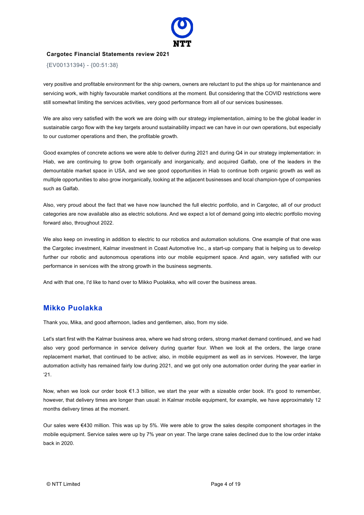

{EV00131394} - {00:51:38}

very positive and profitable environment for the ship owners, owners are reluctant to put the ships up for maintenance and servicing work, with highly favourable market conditions at the moment. But considering that the COVID restrictions were still somewhat limiting the services activities, very good performance from all of our services businesses.

We are also very satisfied with the work we are doing with our strategy implementation, aiming to be the global leader in sustainable cargo flow with the key targets around sustainability impact we can have in our own operations, but especially to our customer operations and then, the profitable growth.

Good examples of concrete actions we were able to deliver during 2021 and during Q4 in our strategy implementation: in Hiab, we are continuing to grow both organically and inorganically, and acquired Galfab, one of the leaders in the demountable market space in USA, and we see good opportunities in Hiab to continue both organic growth as well as multiple opportunities to also grow inorganically, looking at the adjacent businesses and local champion-type of companies such as Galfab.

Also, very proud about the fact that we have now launched the full electric portfolio, and in Cargotec, all of our product categories are now available also as electric solutions. And we expect a lot of demand going into electric portfolio moving forward also, throughout 2022.

We also keep on investing in addition to electric to our robotics and automation solutions. One example of that one was the Cargotec investment, Kalmar investment in Coast Automotive Inc., a start-up company that is helping us to develop further our robotic and autonomous operations into our mobile equipment space. And again, very satisfied with our performance in services with the strong growth in the business segments.

And with that one, I'd like to hand over to Mikko Puolakka, who will cover the business areas.

#### **Mikko Puolakka**

Thank you, Mika, and good afternoon, ladies and gentlemen, also, from my side.

Let's start first with the Kalmar business area, where we had strong orders, strong market demand continued, and we had also very good performance in service delivery during quarter four. When we look at the orders, the large crane replacement market, that continued to be active; also, in mobile equipment as well as in services. However, the large automation activity has remained fairly low during 2021, and we got only one automation order during the year earlier in '21.

Now, when we look our order book €1.3 billion, we start the year with a sizeable order book. It's good to remember, however, that delivery times are longer than usual: in Kalmar mobile equipment, for example, we have approximately 12 months delivery times at the moment.

Our sales were €430 million. This was up by 5%. We were able to grow the sales despite component shortages in the mobile equipment. Service sales were up by 7% year on year. The large crane sales declined due to the low order intake back in 2020.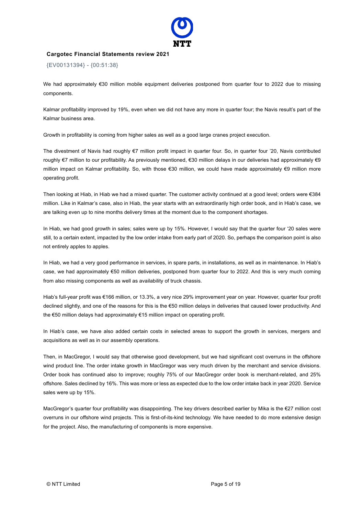

{EV00131394} - {00:51:38}

We had approximately €30 million mobile equipment deliveries postponed from quarter four to 2022 due to missing components.

Kalmar profitability improved by 19%, even when we did not have any more in quarter four; the Navis result's part of the Kalmar business area.

Growth in profitability is coming from higher sales as well as a good large cranes project execution.

The divestment of Navis had roughly €7 million profit impact in quarter four. So, in quarter four '20, Navis contributed roughly €7 million to our profitability. As previously mentioned, €30 million delays in our deliveries had approximately €9 million impact on Kalmar profitability. So, with those €30 million, we could have made approximately €9 million more operating profit.

Then looking at Hiab, in Hiab we had a mixed quarter. The customer activity continued at a good level; orders were €384 million. Like in Kalmar's case, also in Hiab, the year starts with an extraordinarily high order book, and in Hiab's case, we are talking even up to nine months delivery times at the moment due to the component shortages.

In Hiab, we had good growth in sales; sales were up by 15%. However, I would say that the quarter four '20 sales were still, to a certain extent, impacted by the low order intake from early part of 2020. So, perhaps the comparison point is also not entirely apples to apples.

In Hiab, we had a very good performance in services, in spare parts, in installations, as well as in maintenance. In Hiab's case, we had approximately €50 million deliveries, postponed from quarter four to 2022. And this is very much coming from also missing components as well as availability of truck chassis.

Hiab's full-year profit was €166 million, or 13.3%, a very nice 29% improvement year on year. However, quarter four profit declined slightly, and one of the reasons for this is the €50 million delays in deliveries that caused lower productivity. And the €50 million delays had approximately €15 million impact on operating profit.

In Hiab's case, we have also added certain costs in selected areas to support the growth in services, mergers and acquisitions as well as in our assembly operations.

Then, in MacGregor, I would say that otherwise good development, but we had significant cost overruns in the offshore wind product line. The order intake growth in MacGregor was very much driven by the merchant and service divisions. Order book has continued also to improve; roughly 75% of our MacGregor order book is merchant-related, and 25% offshore. Sales declined by 16%. This was more or less as expected due to the low order intake back in year 2020. Service sales were up by 15%.

MacGregor's quarter four profitability was disappointing. The key drivers described earlier by Mika is the €27 million cost overruns in our offshore wind projects. This is first-of-its-kind technology. We have needed to do more extensive design for the project. Also, the manufacturing of components is more expensive.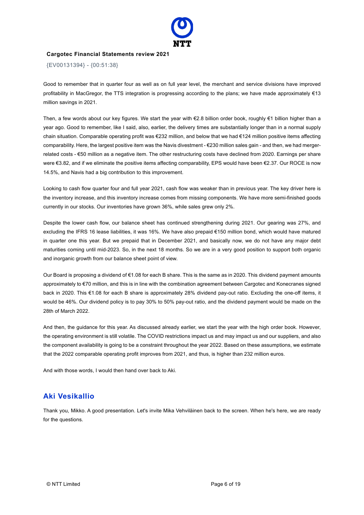

{EV00131394} - {00:51:38}

Good to remember that in quarter four as well as on full year level, the merchant and service divisions have improved profitability in MacGregor, the TTS integration is progressing according to the plans; we have made approximately €13 million savings in 2021.

Then, a few words about our key figures. We start the year with €2.8 billion order book, roughly €1 billion higher than a year ago. Good to remember, like I said, also, earlier, the delivery times are substantially longer than in a normal supply chain situation. Comparable operating profit was €232 million, and below that we had €124 million positive items affecting comparability. Here, the largest positive item was the Navis divestment - €230 million sales gain - and then, we had mergerrelated costs - €50 million as a negative item. The other restructuring costs have declined from 2020. Earnings per share were €3.82, and if we eliminate the positive items affecting comparability, EPS would have been €2.37. Our ROCE is now 14.5%, and Navis had a big contribution to this improvement.

Looking to cash flow quarter four and full year 2021, cash flow was weaker than in previous year. The key driver here is the inventory increase, and this inventory increase comes from missing components. We have more semi-finished goods currently in our stocks. Our inventories have grown 36%, while sales grew only 2%.

Despite the lower cash flow, our balance sheet has continued strengthening during 2021. Our gearing was 27%, and excluding the IFRS 16 lease liabilities, it was 16%. We have also prepaid €150 million bond, which would have matured in quarter one this year. But we prepaid that in December 2021, and basically now, we do not have any major debt maturities coming until mid-2023. So, in the next 18 months. So we are in a very good position to support both organic and inorganic growth from our balance sheet point of view.

Our Board is proposing a dividend of €1.08 for each B share. This is the same as in 2020. This dividend payment amounts approximately to €70 million, and this is in line with the combination agreement between Cargotec and Konecranes signed back in 2020. This €1.08 for each B share is approximately 28% dividend pay-out ratio. Excluding the one-off items, it would be 46%. Our dividend policy is to pay 30% to 50% pay-out ratio, and the dividend payment would be made on the 28th of March 2022.

And then, the guidance for this year. As discussed already earlier, we start the year with the high order book. However, the operating environment is still volatile. The COVID restrictions impact us and may impact us and our suppliers, and also the component availability is going to be a constraint throughout the year 2022. Based on these assumptions, we estimate that the 2022 comparable operating profit improves from 2021, and thus, is higher than 232 million euros.

And with those words, I would then hand over back to Aki.

# **Aki Vesikallio**

Thank you, Mikko. A good presentation. Let's invite Mika Vehviläinen back to the screen. When he's here, we are ready for the questions.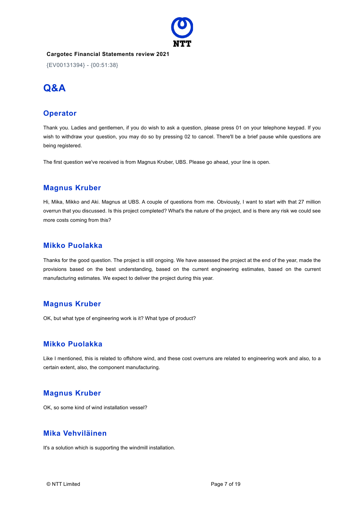

{EV00131394} - {00:51:38}

# **Q&A**

## **Operator**

Thank you. Ladies and gentlemen, if you do wish to ask a question, please press 01 on your telephone keypad. If you wish to withdraw your question, you may do so by pressing 02 to cancel. There'll be a brief pause while questions are being registered.

The first question we've received is from Magnus Kruber, UBS. Please go ahead, your line is open.

## **Magnus Kruber**

Hi, Mika, Mikko and Aki. Magnus at UBS. A couple of questions from me. Obviously, I want to start with that 27 million overrun that you discussed. Is this project completed? What's the nature of the project, and is there any risk we could see more costs coming from this?

#### **Mikko Puolakka**

Thanks for the good question. The project is still ongoing. We have assessed the project at the end of the year, made the provisions based on the best understanding, based on the current engineering estimates, based on the current manufacturing estimates. We expect to deliver the project during this year.

#### **Magnus Kruber**

OK, but what type of engineering work is it? What type of product?

#### **Mikko Puolakka**

Like I mentioned, this is related to offshore wind, and these cost overruns are related to engineering work and also, to a certain extent, also, the component manufacturing.

#### **Magnus Kruber**

OK, so some kind of wind installation vessel?

#### **Mika Vehviläinen**

It's a solution which is supporting the windmill installation.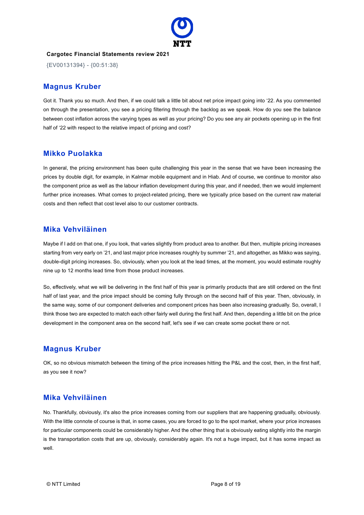

{EV00131394} - {00:51:38}

#### **Magnus Kruber**

Got it. Thank you so much. And then, if we could talk a little bit about net price impact going into '22. As you commented on through the presentation, you see a pricing filtering through the backlog as we speak. How do you see the balance between cost inflation across the varying types as well as your pricing? Do you see any air pockets opening up in the first half of '22 with respect to the relative impact of pricing and cost?

#### **Mikko Puolakka**

In general, the pricing environment has been quite challenging this year in the sense that we have been increasing the prices by double digit, for example, in Kalmar mobile equipment and in Hiab. And of course, we continue to monitor also the component price as well as the labour inflation development during this year, and if needed, then we would implement further price increases. What comes to project-related pricing, there we typically price based on the current raw material costs and then reflect that cost level also to our customer contracts.

#### **Mika Vehviläinen**

Maybe if I add on that one, if you look, that varies slightly from product area to another. But then, multiple pricing increases starting from very early on '21, and last major price increases roughly by summer '21, and altogether, as Mikko was saying, double-digit pricing increases. So, obviously, when you look at the lead times, at the moment, you would estimate roughly nine up to 12 months lead time from those product increases.

So, effectively, what we will be delivering in the first half of this year is primarily products that are still ordered on the first half of last year, and the price impact should be coming fully through on the second half of this year. Then, obviously, in the same way, some of our component deliveries and component prices has been also increasing gradually. So, overall, I think those two are expected to match each other fairly well during the first half. And then, depending a little bit on the price development in the component area on the second half, let's see if we can create some pocket there or not.

# **Magnus Kruber**

OK, so no obvious mismatch between the timing of the price increases hitting the P&L and the cost, then, in the first half, as you see it now?

#### **Mika Vehviläinen**

No. Thankfully, obviously, it's also the price increases coming from our suppliers that are happening gradually, obviously. With the little connote of course is that, in some cases, you are forced to go to the spot market, where your price increases for particular components could be considerably higher. And the other thing that is obviously eating slightly into the margin is the transportation costs that are up, obviously, considerably again. It's not a huge impact, but it has some impact as well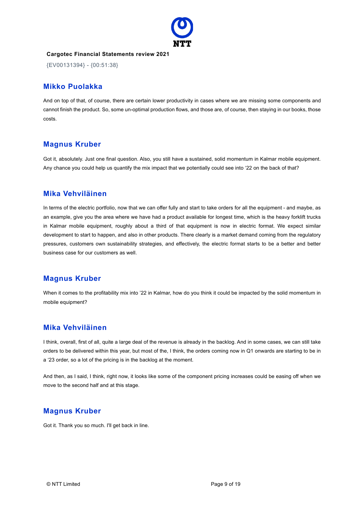

{EV00131394} - {00:51:38}

## **Mikko Puolakka**

And on top of that, of course, there are certain lower productivity in cases where we are missing some components and cannot finish the product. So, some un-optimal production flows, and those are, of course, then staying in our books, those costs.

## **Magnus Kruber**

Got it, absolutely. Just one final question. Also, you still have a sustained, solid momentum in Kalmar mobile equipment. Any chance you could help us quantify the mix impact that we potentially could see into '22 on the back of that?

## **Mika Vehviläinen**

In terms of the electric portfolio, now that we can offer fully and start to take orders for all the equipment - and maybe, as an example, give you the area where we have had a product available for longest time, which is the heavy forklift trucks in Kalmar mobile equipment, roughly about a third of that equipment is now in electric format. We expect similar development to start to happen, and also in other products. There clearly is a market demand coming from the regulatory pressures, customers own sustainability strategies, and effectively, the electric format starts to be a better and better business case for our customers as well.

# **Magnus Kruber**

When it comes to the profitability mix into '22 in Kalmar, how do you think it could be impacted by the solid momentum in mobile equipment?

# **Mika Vehviläinen**

I think, overall, first of all, quite a large deal of the revenue is already in the backlog. And in some cases, we can still take orders to be delivered within this year, but most of the, I think, the orders coming now in Q1 onwards are starting to be in a '23 order, so a lot of the pricing is in the backlog at the moment.

And then, as I said, I think, right now, it looks like some of the component pricing increases could be easing off when we move to the second half and at this stage.

# **Magnus Kruber**

Got it. Thank you so much. I'll get back in line.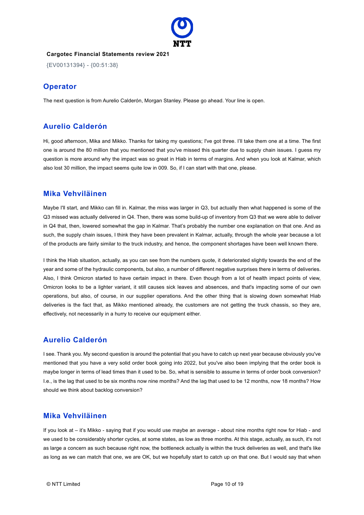

{EV00131394} - {00:51:38}

# **Operator**

The next question is from Aurelio Calderón, Morgan Stanley. Please go ahead. Your line is open.

## **Aurelio Calderón**

Hi, good afternoon, Mika and Mikko. Thanks for taking my questions; I've got three. I'll take them one at a time. The first one is around the 80 million that you mentioned that you've missed this quarter due to supply chain issues. I guess my question is more around why the impact was so great in Hiab in terms of margins. And when you look at Kalmar, which also lost 30 million, the impact seems quite low in 009. So, if I can start with that one, please.

## **Mika Vehviläinen**

Maybe I'll start, and Mikko can fill in. Kalmar, the miss was larger in Q3, but actually then what happened is some of the Q3 missed was actually delivered in Q4. Then, there was some build-up of inventory from Q3 that we were able to deliver in Q4 that, then, lowered somewhat the gap in Kalmar. That's probably the number one explanation on that one. And as such, the supply chain issues, I think they have been prevalent in Kalmar, actually, through the whole year because a lot of the products are fairly similar to the truck industry, and hence, the component shortages have been well known there.

I think the Hiab situation, actually, as you can see from the numbers quote, it deteriorated slightly towards the end of the year and some of the hydraulic components, but also, a number of different negative surprises there in terms of deliveries. Also, I think Omicron started to have certain impact in there. Even though from a lot of health impact points of view, Omicron looks to be a lighter variant, it still causes sick leaves and absences, and that's impacting some of our own operations, but also, of course, in our supplier operations. And the other thing that is slowing down somewhat Hiab deliveries is the fact that, as Mikko mentioned already, the customers are not getting the truck chassis, so they are, effectively, not necessarily in a hurry to receive our equipment either.

# **Aurelio Calderón**

I see. Thank you. My second question is around the potential that you have to catch up next year because obviously you've mentioned that you have a very solid order book going into 2022, but you've also been implying that the order book is maybe longer in terms of lead times than it used to be. So, what is sensible to assume in terms of order book conversion? I.e., is the lag that used to be six months now nine months? And the lag that used to be 12 months, now 18 months? How should we think about backlog conversion?

#### **Mika Vehviläinen**

If you look at – it's Mikko - saying that if you would use maybe an average - about nine months right now for Hiab - and we used to be considerably shorter cycles, at some states, as low as three months. At this stage, actually, as such, it's not as large a concern as such because right now, the bottleneck actually is within the truck deliveries as well, and that's like as long as we can match that one, we are OK, but we hopefully start to catch up on that one. But I would say that when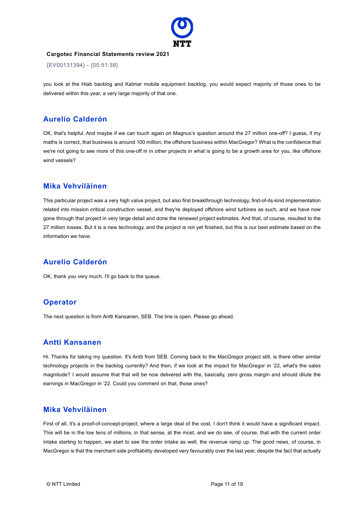

{EV00131394} - {00:51:38}

you look at the Hiab backlog and Kalmar mobile equipment backlog, you would expect majority of those ones to be delivered within this year, a very large majority of that one.

# **Aurelio Calderón**

OK, that's helpful. And maybe if we can touch again on Magnus's question around the 27 million one-off? I guess, if my maths is correct, that business is around 100 million, the offshore business within MacGregor? What is the confidence that we're not going to see more of this one-off in in other projects in what is going to be a growth area for you, like offshore wind vessels?

#### **Mika Vehviläinen**

This particular project was a very high value project, but also first breakthrough technology, first-of-its-kind implementation related into mission critical construction vessel, and they're deployed offshore wind turbines as such, and we have now gone through that project in very large detail and done the renewed project estimates. And that, of course, resulted to the 27 million losses. But it is a new technology, and the project is not yet finished, but this is our best estimate based on the information we have.

# **Aurelio Calderón**

OK, thank you very much. I'll go back to the queue.

# **Operator**

The next question is from Antti Kansanen, SEB. The line is open. Please go ahead.

# **Antti Kansanen**

Hi. Thanks for taking my question. It's Antti from SEB. Coming back to the MacGregor project still, is there other similar technology projects in the backlog currently? And then, if we look at the impact for MacGregor in '22, what's the sales magnitude? I would assume that that will be now delivered with the, basically, zero gross margin and should dilute the earnings in MacGregor in '22. Could you comment on that, those ones?

# **Mika Vehviläinen**

First of all, it's a proof-of-concept-project; where a large deal of the cost. I don't think it would have a significant impact. This will be in the low tens of millions, in that sense, at the most, and we do see, of course, that with the current order intake starting to happen, we start to see the order intake as well, the revenue ramp up. The good news, of course, in MacGregor is that the merchant side profitability developed very favourably over the last year, despite the fact that actually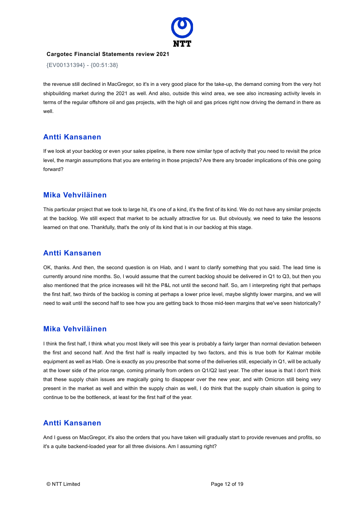

{EV00131394} - {00:51:38}

the revenue still declined in MacGregor, so it's in a very good place for the take-up, the demand coming from the very hot shipbuilding market during the 2021 as well. And also, outside this wind area, we see also increasing activity levels in terms of the regular offshore oil and gas projects, with the high oil and gas prices right now driving the demand in there as well.

#### **Antti Kansanen**

If we look at your backlog or even your sales pipeline, is there now similar type of activity that you need to revisit the price level, the margin assumptions that you are entering in those projects? Are there any broader implications of this one going forward?

## **Mika Vehviläinen**

This particular project that we took to large hit, it's one of a kind, it's the first of its kind. We do not have any similar projects at the backlog. We still expect that market to be actually attractive for us. But obviously, we need to take the lessons learned on that one. Thankfully, that's the only of its kind that is in our backlog at this stage.

## **Antti Kansanen**

OK, thanks. And then, the second question is on Hiab, and I want to clarify something that you said. The lead time is currently around nine months. So, I would assume that the current backlog should be delivered in Q1 to Q3, but then you also mentioned that the price increases will hit the P&L not until the second half. So, am I interpreting right that perhaps the first half, two thirds of the backlog is coming at perhaps a lower price level, maybe slightly lower margins, and we will need to wait until the second half to see how you are getting back to those mid-teen margins that we've seen historically?

#### **Mika Vehviläinen**

I think the first half, I think what you most likely will see this year is probably a fairly larger than normal deviation between the first and second half. And the first half is really impacted by two factors, and this is true both for Kalmar mobile equipment as well as Hiab. One is exactly as you prescribe that some of the deliveries still, especially in Q1, will be actually at the lower side of the price range, coming primarily from orders on Q1/Q2 last year. The other issue is that I don't think that these supply chain issues are magically going to disappear over the new year, and with Omicron still being very present in the market as well and within the supply chain as well, I do think that the supply chain situation is going to continue to be the bottleneck, at least for the first half of the year.

# **Antti Kansanen**

And I guess on MacGregor, it's also the orders that you have taken will gradually start to provide revenues and profits, so it's a quite backend-loaded year for all three divisions. Am I assuming right?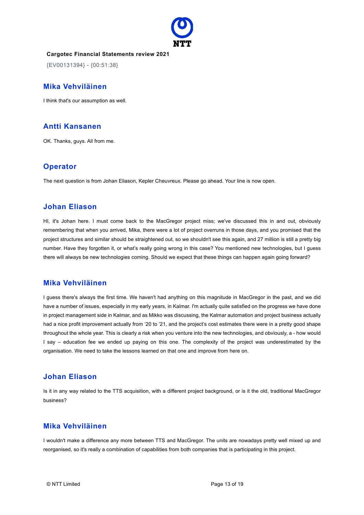

{EV00131394} - {00:51:38}

#### **Mika Vehviläinen**

I think that's our assumption as well.

#### **Antti Kansanen**

OK. Thanks, guys. All from me.

## **Operator**

The next question is from Johan Eliason, Kepler Cheuvreux. Please go ahead. Your line is now open.

#### **Johan Eliason**

HI, it's Johan here. I must come back to the MacGregor project miss; we've discussed this in and out, obviously remembering that when you arrived, Mika, there were a lot of project overruns in those days, and you promised that the project structures and similar should be straightened out, so we shouldn't see this again, and 27 million is still a pretty big number. Have they forgotten it, or what's really going wrong in this case? You mentioned new technologies, but I guess there will always be new technologies coming. Should we expect that these things can happen again going forward?

#### **Mika Vehviläinen**

I guess there's always the first time. We haven't had anything on this magnitude in MacGregor in the past, and we did have a number of issues, especially in my early years, in Kalmar. I'm actually quite satisfied on the progress we have done in project management side in Kalmar, and as Mikko was discussing, the Kalmar automation and project business actually had a nice profit improvement actually from '20 to '21, and the project's cost estimates there were in a pretty good shape throughout the whole year. This is clearly a risk when you venture into the new technologies, and obviously, a - how would I say – education fee we ended up paying on this one. The complexity of the project was underestimated by the organisation. We need to take the lessons learned on that one and improve from here on.

#### **Johan Eliason**

Is it in any way related to the TTS acquisition, with a different project background, or is it the old, traditional MacGregor business?

## **Mika Vehviläinen**

I wouldn't make a difference any more between TTS and MacGregor. The units are nowadays pretty well mixed up and reorganised, so it's really a combination of capabilities from both companies that is participating in this project.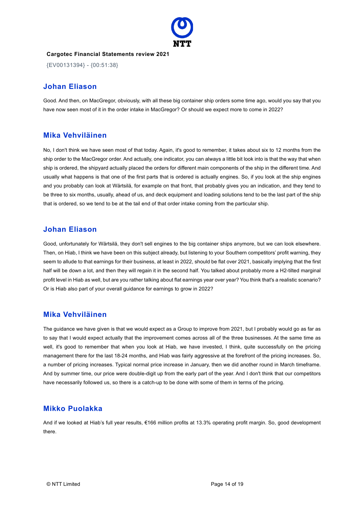

{EV00131394} - {00:51:38}

#### **Johan Eliason**

Good. And then, on MacGregor, obviously, with all these big container ship orders some time ago, would you say that you have now seen most of it in the order intake in MacGregor? Or should we expect more to come in 2022?

## **Mika Vehviläinen**

No, I don't think we have seen most of that today. Again, it's good to remember, it takes about six to 12 months from the ship order to the MacGregor order. And actually, one indicator, you can always a little bit look into is that the way that when ship is ordered, the shipyard actually placed the orders for different main components of the ship in the different time. And usually what happens is that one of the first parts that is ordered is actually engines. So, if you look at the ship engines and you probably can look at Wärtsilä, for example on that front, that probably gives you an indication, and they tend to be three to six months, usually, ahead of us, and deck equipment and loading solutions tend to be the last part of the ship that is ordered, so we tend to be at the tail end of that order intake coming from the particular ship.

#### **Johan Eliason**

Good, unfortunately for Wärtsilä, they don't sell engines to the big container ships anymore, but we can look elsewhere. Then, on Hiab, I think we have been on this subject already, but listening to your Southern competitors' profit warning, they seem to allude to that earnings for their business, at least in 2022, should be flat over 2021, basically implying that the first half will be down a lot, and then they will regain it in the second half. You talked about probably more a H2-tilted marginal profit level in Hiab as well, but are you rather talking about flat earnings year over year? You think that's a realistic scenario? Or is Hiab also part of your overall guidance for earnings to grow in 2022?

#### **Mika Vehviläinen**

The guidance we have given is that we would expect as a Group to improve from 2021, but I probably would go as far as to say that I would expect actually that the improvement comes across all of the three businesses. At the same time as well, it's good to remember that when you look at Hiab, we have invested, I think, quite successfully on the pricing management there for the last 18-24 months, and Hiab was fairly aggressive at the forefront of the pricing increases. So, a number of pricing increases. Typical normal price increase in January, then we did another round in March timeframe. And by summer time, our price were double-digit up from the early part of the year. And I don't think that our competitors have necessarily followed us, so there is a catch-up to be done with some of them in terms of the pricing.

# **Mikko Puolakka**

And if we looked at Hiab's full year results, €166 million profits at 13.3% operating profit margin. So, good development there.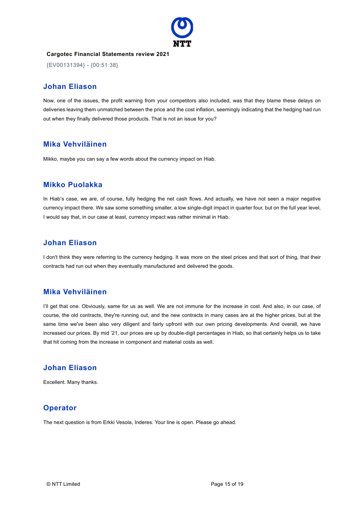

{EV00131394} - {00:51:38}

#### **Johan Eliason**

Now, one of the issues, the profit warning from your competitors also included, was that they blame these delays on deliveries leaving them unmatched between the price and the cost inflation, seemingly indicating that the hedging had run out when they finally delivered those products. That is not an issue for you?

## **Mika Vehviläinen**

Mikko, maybe you can say a few words about the currency impact on Hiab.

## **Mikko Puolakka**

In Hiab's case, we are, of course, fully hedging the net cash flows. And actually, we have not seen a major negative currency impact there. We saw some something smaller, a low single-digit impact in quarter four, but on the full year level, I would say that, in our case at least, currency impact was rather minimal in Hiab.

#### **Johan Eliason**

I don't think they were referring to the currency hedging. It was more on the steel prices and that sort of thing, that their contracts had run out when they eventually manufactured and delivered the goods.

#### **Mika Vehviläinen**

I'll get that one. Obviously, same for us as well. We are not immune for the increase in cost. And also, in our case, of course, the old contracts, they're running out, and the new contracts in many cases are at the higher prices, but at the same time we've been also very diligent and fairly upfront with our own pricing developments. And overall, we have increased our prices. By mid '21, our prices are up by double-digit percentages in Hiab, so that certainly helps us to take that hit coming from the increase in component and material costs as well.

## **Johan Eliason**

Excellent. Many thanks.

#### **Operator**

The next question is from Erkki Vesola, Inderes. Your line is open. Please go ahead.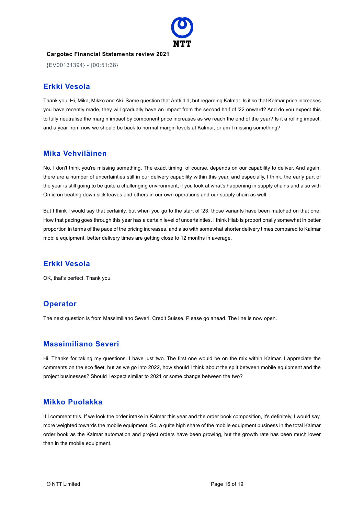

{EV00131394} - {00:51:38}

#### **Erkki Vesola**

Thank you. Hi, Mika, Mikko and Aki. Same question that Antti did, but regarding Kalmar. Is it so that Kalmar price increases you have recently made, they will gradually have an impact from the second half of '22 onward? And do you expect this to fully neutralise the margin impact by component price increases as we reach the end of the year? Is it a rolling impact, and a year from now we should be back to normal margin levels at Kalmar, or am I missing something?

#### **Mika Vehviläinen**

No, I don't think you're missing something. The exact timing, of course, depends on our capability to deliver. And again, there are a number of uncertainties still in our delivery capability within this year, and especially, I think, the early part of the year is still going to be quite a challenging environment, if you look at what's happening in supply chains and also with Omicron beating down sick leaves and others in our own operations and our supply chain as well.

But I think I would say that certainly, but when you go to the start of '23, those variants have been matched on that one. How that pacing goes through this year has a certain level of uncertainties. I think Hiab is proportionally somewhat in better proportion in terms of the pace of the pricing increases, and also with somewhat shorter delivery times compared to Kalmar mobile equipment, better delivery times are getting close to 12 months in average.

#### **Erkki Vesola**

OK, that's perfect. Thank you.

# **Operator**

The next question is from Massimiliano Severi, Credit Suisse. Please go ahead. The line is now open.

#### **Massimiliano Severi**

Hi. Thanks for taking my questions. I have just two. The first one would be on the mix within Kalmar. I appreciate the comments on the eco fleet, but as we go into 2022, how should I think about the split between mobile equipment and the project businesses? Should I expect similar to 2021 or some change between the two?

#### **Mikko Puolakka**

If I comment this. If we look the order intake in Kalmar this year and the order book composition, it's definitely, I would say, more weighted towards the mobile equipment. So, a quite high share of the mobile equipment business in the total Kalmar order book as the Kalmar automation and project orders have been growing, but the growth rate has been much lower than in the mobile equipment.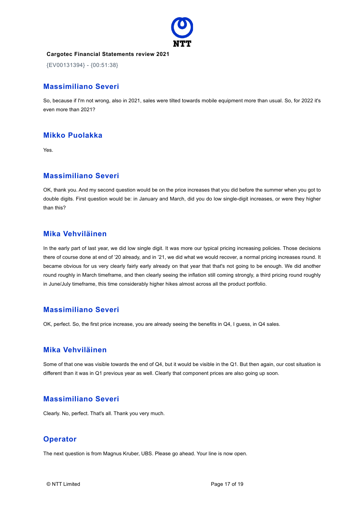

{EV00131394} - {00:51:38}

#### **Massimiliano Severi**

So, because if I'm not wrong, also in 2021, sales were tilted towards mobile equipment more than usual. So, for 2022 it's even more than 2021?

# **Mikko Puolakka**

Yes.

## **Massimiliano Severi**

OK, thank you. And my second question would be on the price increases that you did before the summer when you got to double digits. First question would be: in January and March, did you do low single-digit increases, or were they higher than this?

#### **Mika Vehviläinen**

In the early part of last year, we did low single digit. It was more our typical pricing increasing policies. Those decisions there of course done at end of '20 already, and in '21, we did what we would recover, a normal pricing increases round. It became obvious for us very clearly fairly early already on that year that that's not going to be enough. We did another round roughly in March timeframe, and then clearly seeing the inflation still coming strongly, a third pricing round roughly in June/July timeframe, this time considerably higher hikes almost across all the product portfolio.

# **Massimiliano Severi**

OK, perfect. So, the first price increase, you are already seeing the benefits in Q4, I guess, in Q4 sales.

#### **Mika Vehviläinen**

Some of that one was visible towards the end of Q4, but it would be visible in the Q1. But then again, our cost situation is different than it was in Q1 previous year as well. Clearly that component prices are also going up soon.

#### **Massimiliano Severi**

Clearly. No, perfect. That's all. Thank you very much.

# **Operator**

The next question is from Magnus Kruber, UBS. Please go ahead. Your line is now open.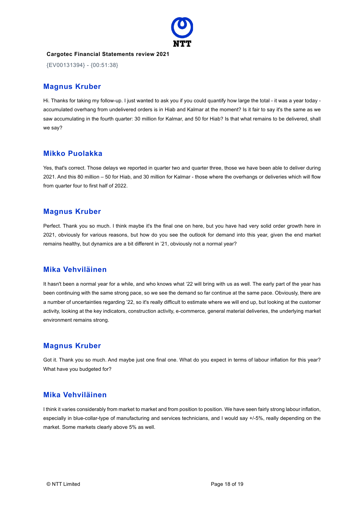

{EV00131394} - {00:51:38}

## **Magnus Kruber**

Hi. Thanks for taking my follow-up. I just wanted to ask you if you could quantify how large the total - it was a year today accumulated overhang from undelivered orders is in Hiab and Kalmar at the moment? Is it fair to say it's the same as we saw accumulating in the fourth quarter: 30 million for Kalmar, and 50 for Hiab? Is that what remains to be delivered, shall we say?

#### **Mikko Puolakka**

Yes, that's correct. Those delays we reported in quarter two and quarter three, those we have been able to deliver during 2021. And this 80 million – 50 for Hiab, and 30 million for Kalmar - those where the overhangs or deliveries which will flow from quarter four to first half of 2022.

## **Magnus Kruber**

Perfect. Thank you so much. I think maybe it's the final one on here, but you have had very solid order growth here in 2021, obviously for various reasons, but how do you see the outlook for demand into this year, given the end market remains healthy, but dynamics are a bit different in '21, obviously not a normal year?

# **Mika Vehviläinen**

It hasn't been a normal year for a while, and who knows what '22 will bring with us as well. The early part of the year has been continuing with the same strong pace, so we see the demand so far continue at the same pace. Obviously, there are a number of uncertainties regarding '22, so it's really difficult to estimate where we will end up, but looking at the customer activity, looking at the key indicators, construction activity, e-commerce, general material deliveries, the underlying market environment remains strong.

# **Magnus Kruber**

Got it. Thank you so much. And maybe just one final one. What do you expect in terms of labour inflation for this year? What have you budgeted for?

#### **Mika Vehviläinen**

I think it varies considerably from market to market and from position to position. We have seen fairly strong labour inflation, especially in blue-collar-type of manufacturing and services technicians, and I would say +/-5%, really depending on the market. Some markets clearly above 5% as well.